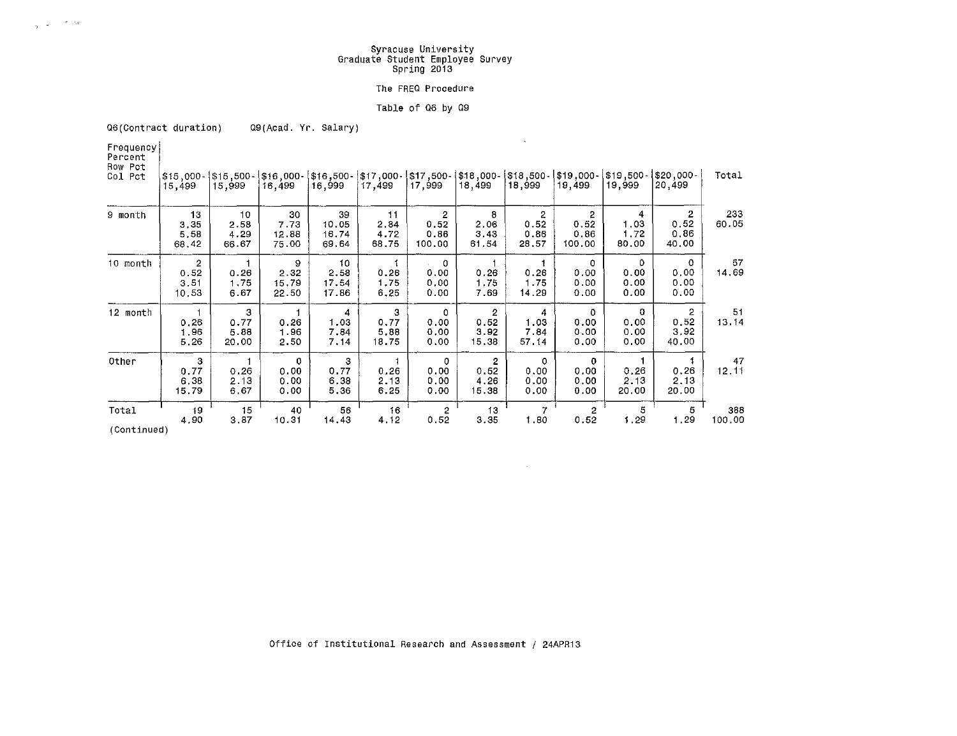## **Syracuse University Graduate Student Employee Survey**  Spring 2013

#### **The FREO Procedure**

### Table of Q6 by Q9

 $\Delta \sim 10^{-11}$ 

 $\sim 100$ 

**Q6(Contract duration)** Q9(Acad. Yr. Salary)

**Frequency Percent Row Pct** 

 $\beta_{\rm F}$  ,  $\omega_{\rm F}$  ,  $\beta_{\rm F}$  , and

| Col Pct                                                              | 15 499                                  | $$15,000 - $15,500 - $16,000 - $16,500 - $17,000 - $17,500 - $18,000 - $16,000 - $18,000 - $18,000 - $18,000 - $18,000 - $18,000 - $18,000 - $18,000 - $18,000 - $18,000 - $18,000 - $18,000 - $18,000 - $18,000 - $18,000 - $18,000 - $18,000 - $18,000 - $18,000 - $18,000 - $18,$<br>15,999 | 16,499                              | 16,999                        | 17.499                      | 17,999                                   | 18,499                                  | 18,999                     | 19,499                               | 19,999                     | -000,020 <br>20,499                   | Total         |
|----------------------------------------------------------------------|-----------------------------------------|------------------------------------------------------------------------------------------------------------------------------------------------------------------------------------------------------------------------------------------------------------------------------------------------|-------------------------------------|-------------------------------|-----------------------------|------------------------------------------|-----------------------------------------|----------------------------|--------------------------------------|----------------------------|---------------------------------------|---------------|
| 9 month                                                              | 13<br>3,35<br>5,58<br>68.42             | 10<br>2.58<br>4.29<br>66.67                                                                                                                                                                                                                                                                    | 30<br>7.73<br>12.88<br>75.00        | 39<br>10.05<br>16.74<br>69.64 | 11<br>2.84<br>4.72<br>68.75 | $\overline{2}$<br>0.52<br>0.86<br>100.00 | 8<br>2.06<br>3.43<br>61.54              | 2<br>0.52<br>0.86<br>28.57 | 2<br>0.52<br>0.86<br>100.00          | 4<br>1.03<br>1,72<br>80.00 | 2<br>0.52<br>0.86<br>40,00            | 233<br>60.05  |
| 10 month                                                             | $\overline{c}$<br>0.52<br>3.51<br>10.53 | 1<br>0.26<br>1,75<br>6.67                                                                                                                                                                                                                                                                      | 9<br>2.32<br>15.79<br>22.50         | 10<br>2.58<br>17.54<br>17.86  | 0.26<br>1.75<br>6.25        | $\circ$<br>0.00<br>0.00<br>0.00          | 0.26<br>1.75<br>7.69                    | 0.26<br>1.75<br>14.29      | 0<br>0.00<br>0.00<br>0.00            | 0<br>0.00<br>0.00<br>0.00  | 0<br>0.00<br>0.00<br>0.00             | 57<br>14,69   |
| 12 month                                                             | 0,26<br>1.96<br>5.26                    | 3<br>0.77<br>5.88<br>20.00                                                                                                                                                                                                                                                                     | 0.26<br>1.96<br>2.50                | 4<br>1.03<br>7.84<br>7.14     | 3<br>0.77<br>5.88<br>18.75  | 0<br>0.00<br>0.00<br>0.00                | $\overline{2}$<br>0.52<br>3.92<br>15.38 | 4<br>1.03<br>7.84<br>57.14 | $\circ$<br>0.00<br>0.00<br>0.00      | 0<br>0.00<br>0.00<br>0.00  | $\mathbf{2}$<br>0.52<br>3.92<br>40.00 | 51<br>13.14   |
| Other                                                                | 3<br>0.77<br>6.38<br>15.79              | 0.26<br>2.13<br>6.67                                                                                                                                                                                                                                                                           | $\mathbf 0$<br>0.00<br>0.00<br>0.00 | 3<br>0.77<br>6.38<br>5.36     | 0.26<br>2.13<br>6.25        | 0<br>0.00<br>0.00<br>0.00                | $\mathbf{2}$<br>0.52<br>4.26<br>15.38   | 0<br>0.00<br>0.00<br>0.00  | $\mathbf{o}$<br>0.00<br>0.00<br>0.00 | 0.26<br>2.13<br>20.00      | 0.26<br>2.13<br>20.00                 | 47<br>12.11   |
| Total<br>$\mathcal{L}$ . And $\mathcal{L}$ is a set of $\mathcal{L}$ | 19<br>4.90                              | 15<br>3,87                                                                                                                                                                                                                                                                                     | 40<br>10.31                         | 56<br>14.43                   | 16<br>4.12                  | $\mathbf{2}$<br>0.52                     | 13<br>3.35                              | $\overline{7}$<br>1.80     | $\overline{2}$<br>0.52               | 5<br>1.29                  | 5<br>1.29                             | 388<br>100.00 |

**(Continued)**